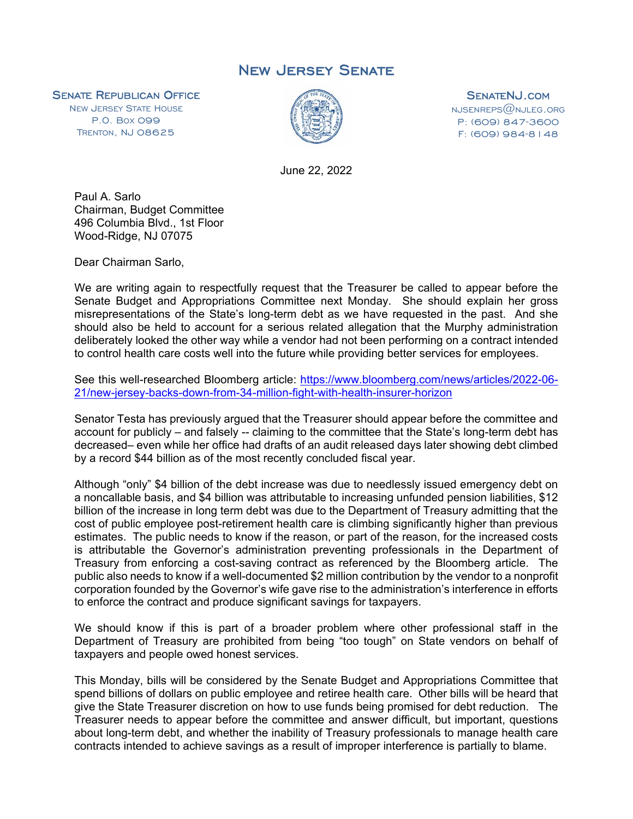## New Jersey Senate

**SENATE REPUBLICAN OFFICE**<br>NEW JERSEY STATE HOUSE

P.O. BOX 099 TRENTON, NJ 08625



**SENATENJ.COM**<br>NJSENREPS@NJLEG.ORG P: (609) 847-3600 F: (609) 984-8148

June 22, 2022

Paul A. Sarlo Chairman, Budget Committee 496 Columbia Blvd., 1st Floor Wood-Ridge, NJ 07075

Dear Chairman Sarlo,

We are writing again to respectfully request that the Treasurer be called to appear before the Senate Budget and Appropriations Committee next Monday. She should explain her gross misrepresentations of the State's long-term debt as we have requested in the past. And she should also be held to account for a serious related allegation that the Murphy administration deliberately looked the other way while a vendor had not been performing on a contract intended to control health care costs well into the future while providing better services for employees.

See this well-researched Bloomberg article: https://www.bloomberg.com/news/articles/2022-06- 21/new-jersey-backs-down-from-34-million-fight-with-health-insurer-horizon

Senator Testa has previously argued that the Treasurer should appear before the committee and account for publicly – and falsely -- claiming to the committee that the State's long-term debt has decreased– even while her office had drafts of an audit released days later showing debt climbed by a record \$44 billion as of the most recently concluded fiscal year.

Although "only" \$4 billion of the debt increase was due to needlessly issued emergency debt on a noncallable basis, and \$4 billion was attributable to increasing unfunded pension liabilities, \$12 billion of the increase in long term debt was due to the Department of Treasury admitting that the cost of public employee post-retirement health care is climbing significantly higher than previous estimates. The public needs to know if the reason, or part of the reason, for the increased costs is attributable the Governor's administration preventing professionals in the Department of Treasury from enforcing a cost-saving contract as referenced by the Bloomberg article. The public also needs to know if a well-documented \$2 million contribution by the vendor to a nonprofit corporation founded by the Governor's wife gave rise to the administration's interference in efforts to enforce the contract and produce significant savings for taxpayers.

We should know if this is part of a broader problem where other professional staff in the Department of Treasury are prohibited from being "too tough" on State vendors on behalf of taxpayers and people owed honest services.

This Monday, bills will be considered by the Senate Budget and Appropriations Committee that spend billions of dollars on public employee and retiree health care. Other bills will be heard that give the State Treasurer discretion on how to use funds being promised for debt reduction. The Treasurer needs to appear before the committee and answer difficult, but important, questions about long-term debt, and whether the inability of Treasury professionals to manage health care contracts intended to achieve savings as a result of improper interference is partially to blame.